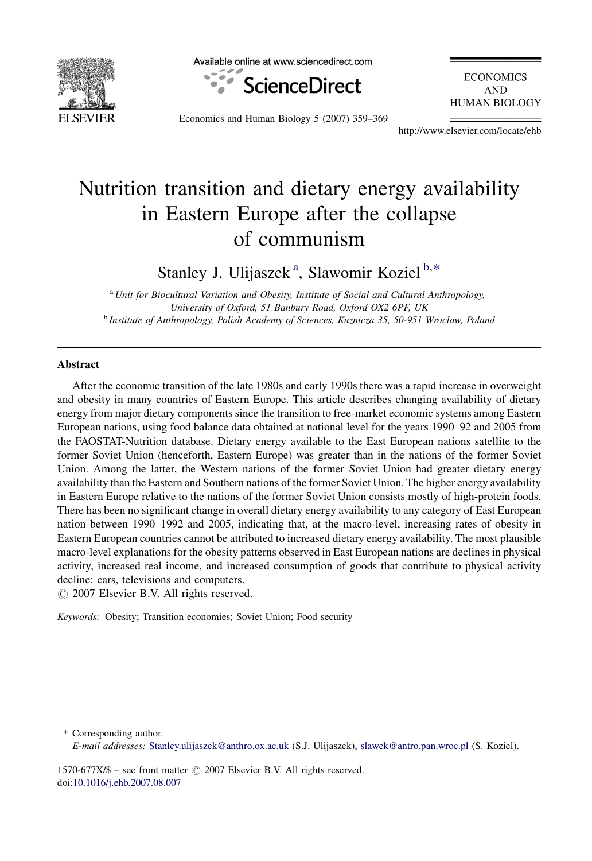

Available online at www.sciencedirect.com



**ECONOMICS AND HUMAN BIOLOGY** 

Economics and Human Biology 5 (2007) 359–369

http://www.elsevier.com/locate/ehb

# Nutrition transition and dietary energy availability in Eastern Europe after the collapse of communism

Stanley J. Ulijaszek<sup>a</sup>, Slawomir Koziel<sup>b,\*</sup>

<sup>a</sup> Unit for Biocultural Variation and Obesity, Institute of Social and Cultural Anthropology, University of Oxford, 51 Banbury Road, Oxford OX2 6PF, UK <sup>b</sup> Institute of Anthropology, Polish Academy of Sciences, Kuznicza 35, 50-951 Wroclaw, Poland

#### Abstract

After the economic transition of the late 1980s and early 1990s there was a rapid increase in overweight and obesity in many countries of Eastern Europe. This article describes changing availability of dietary energy from major dietary components since the transition to free-market economic systems among Eastern European nations, using food balance data obtained at national level for the years 1990–92 and 2005 from the FAOSTAT-Nutrition database. Dietary energy available to the East European nations satellite to the former Soviet Union (henceforth, Eastern Europe) was greater than in the nations of the former Soviet Union. Among the latter, the Western nations of the former Soviet Union had greater dietary energy availability than the Eastern and Southern nations of the former Soviet Union. The higher energy availability in Eastern Europe relative to the nations of the former Soviet Union consists mostly of high-protein foods. There has been no significant change in overall dietary energy availability to any category of East European nation between 1990–1992 and 2005, indicating that, at the macro-level, increasing rates of obesity in Eastern European countries cannot be attributed to increased dietary energy availability. The most plausible macro-level explanations for the obesity patterns observed in East European nations are declines in physical activity, increased real income, and increased consumption of goods that contribute to physical activity decline: cars, televisions and computers.

 $\odot$  2007 Elsevier B.V. All rights reserved.

Keywords: Obesity; Transition economies; Soviet Union; Food security

\* Corresponding author. E-mail addresses: [Stanley.ulijaszek@anthro.ox.ac.uk](mailto:Stanley.ulijaszek@anthro.ox.ac.uk) (S.J. Ulijaszek), [slawek@antro.pan.wroc.pl](mailto:slawek@antro.pan.wroc.pl) (S. Koziel).

 $1570-677X/S$  – see front matter  $\odot$  2007 Elsevier B.V. All rights reserved. doi:[10.1016/j.ehb.2007.08.007](http://dx.doi.org/10.1016/j.ehb.2007.08.007)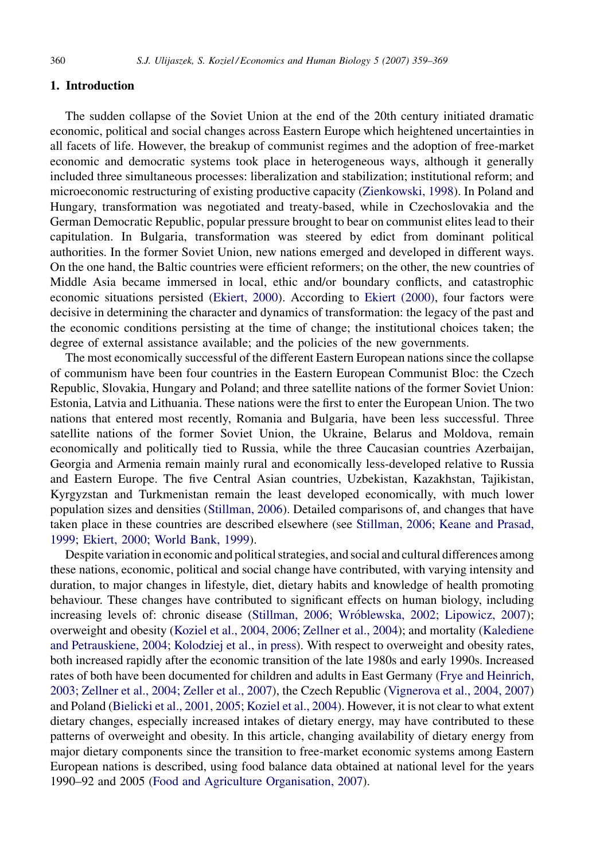### 1. Introduction

The sudden collapse of the Soviet Union at the end of the 20th century initiated dramatic economic, political and social changes across Eastern Europe which heightened uncertainties in all facets of life. However, the breakup of communist regimes and the adoption of free-market economic and democratic systems took place in heterogeneous ways, although it generally included three simultaneous processes: liberalization and stabilization; institutional reform; and microeconomic restructuring of existing productive capacity ([Zienkowski, 1998\)](#page-10-0). In Poland and Hungary, transformation was negotiated and treaty-based, while in Czechoslovakia and the German Democratic Republic, popular pressure brought to bear on communist elites lead to their capitulation. In Bulgaria, transformation was steered by edict from dominant political authorities. In the former Soviet Union, new nations emerged and developed in different ways. On the one hand, the Baltic countries were efficient reformers; on the other, the new countries of Middle Asia became immersed in local, ethic and/or boundary conflicts, and catastrophic economic situations persisted ([Ekiert, 2000\)](#page-9-0). According to [Ekiert \(2000\),](#page-9-0) four factors were decisive in determining the character and dynamics of transformation: the legacy of the past and the economic conditions persisting at the time of change; the institutional choices taken; the degree of external assistance available; and the policies of the new governments.

The most economically successful of the different Eastern European nations since the collapse of communism have been four countries in the Eastern European Communist Bloc: the Czech Republic, Slovakia, Hungary and Poland; and three satellite nations of the former Soviet Union: Estonia, Latvia and Lithuania. These nations were the first to enter the European Union. The two nations that entered most recently, Romania and Bulgaria, have been less successful. Three satellite nations of the former Soviet Union, the Ukraine, Belarus and Moldova, remain economically and politically tied to Russia, while the three Caucasian countries Azerbaijan, Georgia and Armenia remain mainly rural and economically less-developed relative to Russia and Eastern Europe. The five Central Asian countries, Uzbekistan, Kazakhstan, Tajikistan, Kyrgyzstan and Turkmenistan remain the least developed economically, with much lower population sizes and densities ([Stillman, 2006](#page-9-0)). Detailed comparisons of, and changes that have taken place in these countries are described elsewhere (see [Stillman, 2006; Keane and Prasad,](#page-9-0) [1999; Ekiert, 2000; World Bank, 1999](#page-9-0)).

Despite variation in economic and political strategies, and social and cultural differences among these nations, economic, political and social change have contributed, with varying intensity and duration, to major changes in lifestyle, diet, dietary habits and knowledge of health promoting behaviour. These changes have contributed to significant effects on human biology, including increasing levels of: chronic disease (Stillman, 2006; Wróblewska, 2002; Lipowicz, 2007); overweight and obesity ([Koziel et al., 2004, 2006; Zellner et al., 2004\)](#page-9-0); and mortality ([Kalediene](#page-9-0) [and Petrauskiene, 2004; Kolodziej et al., in press](#page-9-0)). With respect to overweight and obesity rates, both increased rapidly after the economic transition of the late 1980s and early 1990s. Increased rates of both have been documented for children and adults in East Germany ([Frye and Heinrich,](#page-9-0) [2003; Zellner et al., 2004; Zeller et al., 2007](#page-9-0)), the Czech Republic ([Vignerova et al., 2004, 2007\)](#page-9-0) and Poland [\(Bielicki et al., 2001, 2005; Koziel et al., 2004\)](#page-9-0). However, it is not clear to what extent dietary changes, especially increased intakes of dietary energy, may have contributed to these patterns of overweight and obesity. In this article, changing availability of dietary energy from major dietary components since the transition to free-market economic systems among Eastern European nations is described, using food balance data obtained at national level for the years 1990–92 and 2005 ([Food and Agriculture Organisation, 2007\)](#page-9-0).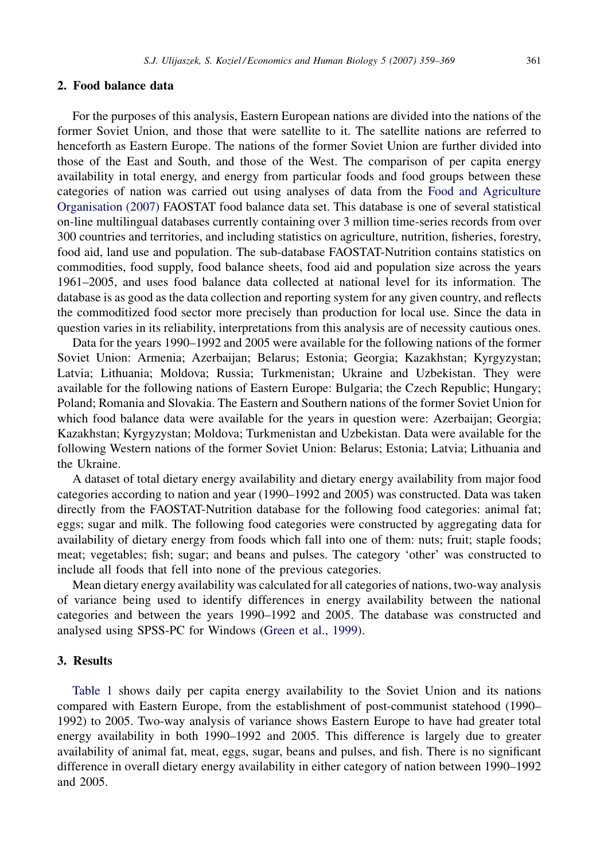#### 2. Food balance data

For the purposes of this analysis, Eastern European nations are divided into the nations of the former Soviet Union, and those that were satellite to it. The satellite nations are referred to henceforth as Eastern Europe. The nations of the former Soviet Union are further divided into those of the East and South, and those of the West. The comparison of per capita energy availability in total energy, and energy from particular foods and food groups between these categories of nation was carried out using analyses of data from the [Food and Agriculture](#page-9-0) [Organisation \(2007\)](#page-9-0) FAOSTAT food balance data set. This database is one of several statistical on-line multilingual databases currently containing over 3 million time-series records from over 300 countries and territories, and including statistics on agriculture, nutrition, fisheries, forestry, food aid, land use and population. The sub-database FAOSTAT-Nutrition contains statistics on commodities, food supply, food balance sheets, food aid and population size across the years 1961–2005, and uses food balance data collected at national level for its information. The database is as good as the data collection and reporting system for any given country, and reflects the commoditized food sector more precisely than production for local use. Since the data in question varies in its reliability, interpretations from this analysis are of necessity cautious ones.

Data for the years 1990–1992 and 2005 were available for the following nations of the former Soviet Union: Armenia; Azerbaijan; Belarus; Estonia; Georgia; Kazakhstan; Kyrgyzystan; Latvia; Lithuania; Moldova; Russia; Turkmenistan; Ukraine and Uzbekistan. They were available for the following nations of Eastern Europe: Bulgaria; the Czech Republic; Hungary; Poland; Romania and Slovakia. The Eastern and Southern nations of the former Soviet Union for which food balance data were available for the years in question were: Azerbaijan; Georgia; Kazakhstan; Kyrgyzystan; Moldova; Turkmenistan and Uzbekistan. Data were available for the following Western nations of the former Soviet Union: Belarus; Estonia; Latvia; Lithuania and the Ukraine.

A dataset of total dietary energy availability and dietary energy availability from major food categories according to nation and year (1990–1992 and 2005) was constructed. Data was taken directly from the FAOSTAT-Nutrition database for the following food categories: animal fat; eggs; sugar and milk. The following food categories were constructed by aggregating data for availability of dietary energy from foods which fall into one of them: nuts; fruit; staple foods; meat; vegetables; fish; sugar; and beans and pulses. The category 'other' was constructed to include all foods that fell into none of the previous categories.

Mean dietary energy availability was calculated for all categories of nations, two-way analysis of variance being used to identify differences in energy availability between the national categories and between the years 1990–1992 and 2005. The database was constructed and analysed using SPSS-PC for Windows ([Green et al., 1999\)](#page-9-0).

## 3. Results

[Table 1](#page-3-0) shows daily per capita energy availability to the Soviet Union and its nations compared with Eastern Europe, from the establishment of post-communist statehood (1990– 1992) to 2005. Two-way analysis of variance shows Eastern Europe to have had greater total energy availability in both 1990–1992 and 2005. This difference is largely due to greater availability of animal fat, meat, eggs, sugar, beans and pulses, and fish. There is no significant difference in overall dietary energy availability in either category of nation between 1990–1992 and 2005.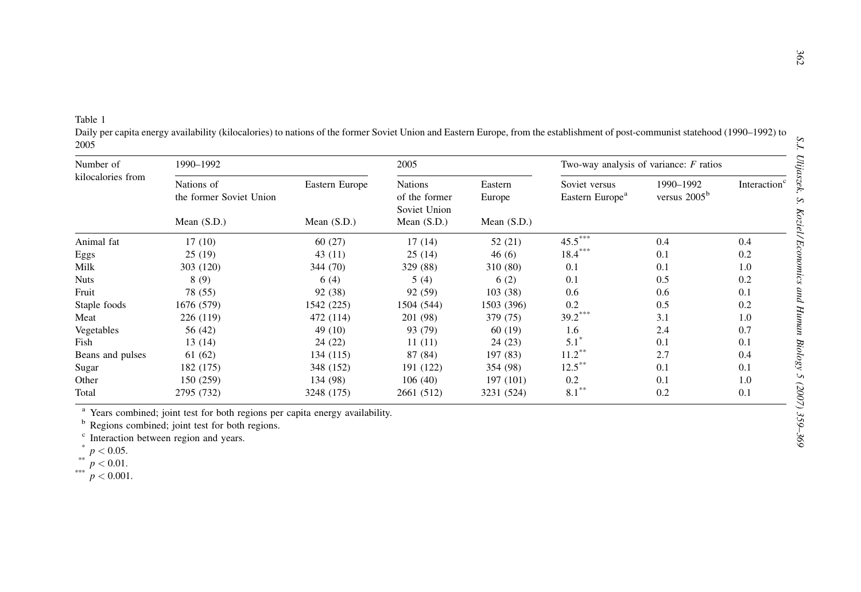<span id="page-3-0"></span>

| Table 1<br>Daily per capita energy availability (kilocalories) to nations of the former Soviet Union and Eastern Europe, from the establishment of post-communist statehood (1990–1992) to<br>2005 |                                                        |                                 |                                                                  |                                          |                                              |                                    |                          |  |
|----------------------------------------------------------------------------------------------------------------------------------------------------------------------------------------------------|--------------------------------------------------------|---------------------------------|------------------------------------------------------------------|------------------------------------------|----------------------------------------------|------------------------------------|--------------------------|--|
| Number of<br>kilocalories from                                                                                                                                                                     | 1990-1992                                              | 2005                            |                                                                  | Two-way analysis of variance: $F$ ratios |                                              |                                    |                          |  |
|                                                                                                                                                                                                    | Nations of<br>the former Soviet Union<br>Mean $(S.D.)$ | Eastern Europe<br>Mean $(S.D.)$ | <b>Nations</b><br>of the former<br>Soviet Union<br>Mean $(S.D.)$ | Eastern<br>Europe<br>Mean $(S.D.)$       | Soviet versus<br>Eastern Europe <sup>a</sup> | 1990-1992<br>versus $2005^{\rm b}$ | Interaction <sup>c</sup> |  |
|                                                                                                                                                                                                    |                                                        |                                 |                                                                  |                                          |                                              |                                    |                          |  |
| Animal fat                                                                                                                                                                                         | 17(10)                                                 | 60(27)                          | 17(14)                                                           | 52(21)                                   | $45.5***$                                    | 0.4                                | 0.4                      |  |
| Eggs                                                                                                                                                                                               | 25(19)                                                 | 43(11)                          | 25(14)                                                           | 46(6)                                    | 18.4                                         | 0.1                                | 0.2                      |  |
| Milk                                                                                                                                                                                               | 303 (120)                                              | 344 (70)                        | 329 (88)                                                         | 310 (80)                                 | 0.1                                          | 0.1                                | 1.0                      |  |
| <b>Nuts</b>                                                                                                                                                                                        | 8(9)                                                   | 6(4)                            | 5(4)                                                             | 6(2)                                     | 0.1                                          | 0.5                                | 0.2                      |  |
| Fruit                                                                                                                                                                                              | 78 (55)                                                | 92 (38)                         | 92 (59)                                                          | 103 (38)                                 | 0.6                                          | 0.6                                | 0.1                      |  |
| Staple foods                                                                                                                                                                                       | 1676 (579)                                             | 1542 (225)                      | 1504 (544)                                                       | 1503 (396)                               | 0.2                                          | 0.5                                | 0.2                      |  |
| Meat                                                                                                                                                                                               | 226 (119)                                              | 472 (114)                       | 201 (98)                                                         | 379 (75)                                 | 39.2                                         | 3.1                                | 1.0                      |  |
| Vegetables                                                                                                                                                                                         | 56 (42)                                                | 49 (10)                         | 93 (79)                                                          | 60(19)                                   | 1.6                                          | 2.4                                | 0.7                      |  |
| Fish                                                                                                                                                                                               | 13(14)                                                 | 24(22)                          | 11(11)                                                           | 24(23)                                   | 5.1                                          | 0.1                                | 0.1                      |  |
| Beans and pulses                                                                                                                                                                                   | 61(62)                                                 | 134 (115)                       | 87 (84)                                                          | 197 (83)                                 | $11.2***$                                    | 2.7                                | 0.4                      |  |
| Sugar                                                                                                                                                                                              | 182 (175)                                              | 348 (152)                       | 191 (122)                                                        | 354 (98)                                 | $12.5$ **                                    | 0.1                                | 0.1                      |  |
| Other                                                                                                                                                                                              | 150 (259)                                              | 134 (98)                        | 106(40)                                                          | 197 (101)                                | 0.2                                          | 0.1                                | 1.0                      |  |
| Total                                                                                                                                                                                              | 2795 (732)                                             | 3248 (175)                      | 2661 (512)                                                       | 3231 (524)                               | $8.1***$                                     | 0.2                                | 0.1                      |  |

 $p < 0.05$ . \*\*

 $p < 0.01$ .

 $*\times$  $\hat{p}$  < 0.001.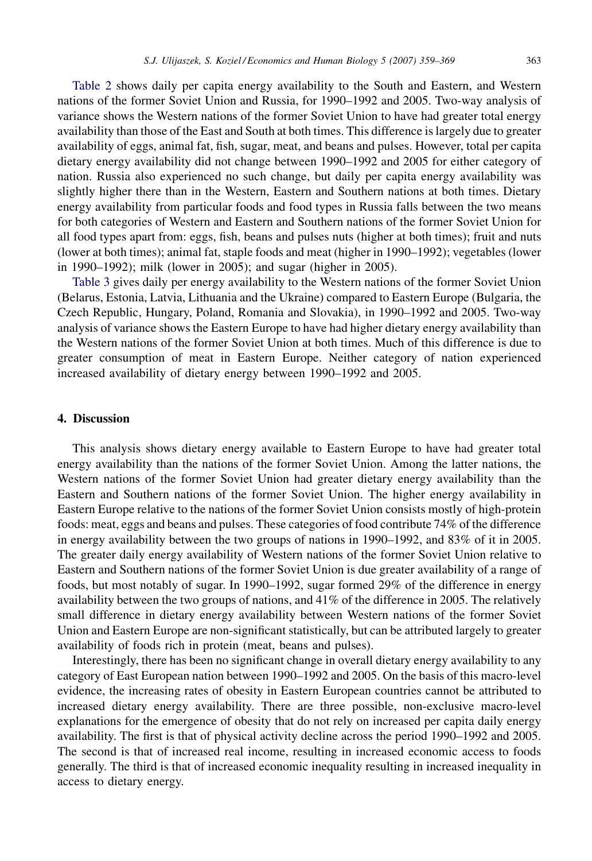[Table 2](#page-5-0) shows daily per capita energy availability to the South and Eastern, and Western nations of the former Soviet Union and Russia, for 1990–1992 and 2005. Two-way analysis of variance shows the Western nations of the former Soviet Union to have had greater total energy availability than those of the East and South at both times. This difference is largely due to greater availability of eggs, animal fat, fish, sugar, meat, and beans and pulses. However, total per capita dietary energy availability did not change between 1990–1992 and 2005 for either category of nation. Russia also experienced no such change, but daily per capita energy availability was slightly higher there than in the Western, Eastern and Southern nations at both times. Dietary energy availability from particular foods and food types in Russia falls between the two means for both categories of Western and Eastern and Southern nations of the former Soviet Union for all food types apart from: eggs, fish, beans and pulses nuts (higher at both times); fruit and nuts (lower at both times); animal fat, staple foods and meat (higher in 1990–1992); vegetables (lower in 1990–1992); milk (lower in 2005); and sugar (higher in 2005).

[Table 3](#page-6-0) gives daily per energy availability to the Western nations of the former Soviet Union (Belarus, Estonia, Latvia, Lithuania and the Ukraine) compared to Eastern Europe (Bulgaria, the Czech Republic, Hungary, Poland, Romania and Slovakia), in 1990–1992 and 2005. Two-way analysis of variance shows the Eastern Europe to have had higher dietary energy availability than the Western nations of the former Soviet Union at both times. Much of this difference is due to greater consumption of meat in Eastern Europe. Neither category of nation experienced increased availability of dietary energy between 1990–1992 and 2005.

#### 4. Discussion

This analysis shows dietary energy available to Eastern Europe to have had greater total energy availability than the nations of the former Soviet Union. Among the latter nations, the Western nations of the former Soviet Union had greater dietary energy availability than the Eastern and Southern nations of the former Soviet Union. The higher energy availability in Eastern Europe relative to the nations of the former Soviet Union consists mostly of high-protein foods: meat, eggs and beans and pulses. These categories of food contribute 74% of the difference in energy availability between the two groups of nations in 1990–1992, and 83% of it in 2005. The greater daily energy availability of Western nations of the former Soviet Union relative to Eastern and Southern nations of the former Soviet Union is due greater availability of a range of foods, but most notably of sugar. In 1990–1992, sugar formed 29% of the difference in energy availability between the two groups of nations, and 41% of the difference in 2005. The relatively small difference in dietary energy availability between Western nations of the former Soviet Union and Eastern Europe are non-significant statistically, but can be attributed largely to greater availability of foods rich in protein (meat, beans and pulses).

Interestingly, there has been no significant change in overall dietary energy availability to any category of East European nation between 1990–1992 and 2005. On the basis of this macro-level evidence, the increasing rates of obesity in Eastern European countries cannot be attributed to increased dietary energy availability. There are three possible, non-exclusive macro-level explanations for the emergence of obesity that do not rely on increased per capita daily energy availability. The first is that of physical activity decline across the period 1990–1992 and 2005. The second is that of increased real income, resulting in increased economic access to foods generally. The third is that of increased economic inequality resulting in increased inequality in access to dietary energy.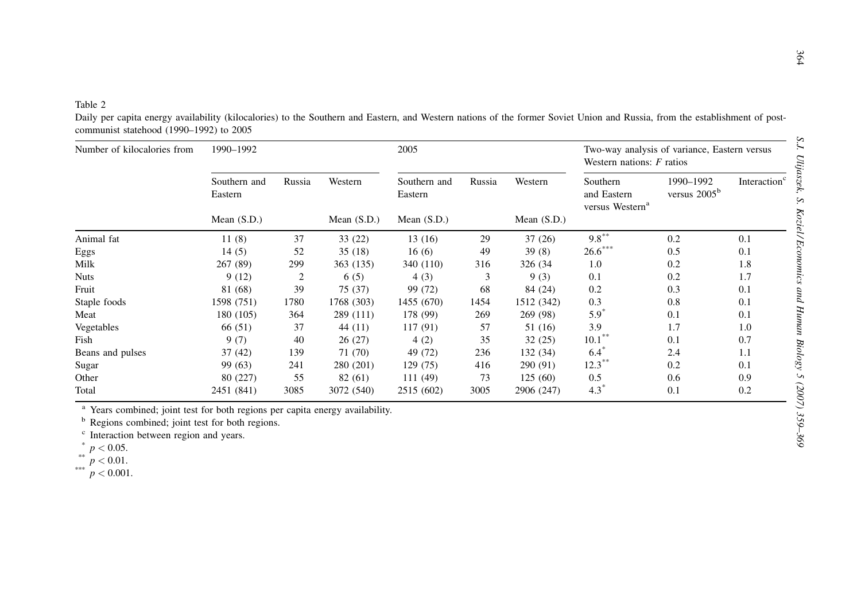<span id="page-5-0"></span>

| Table 2<br>Daily per capita energy availability (kilocalories) to the Southern and Eastern, and Western nations of the former Soviet Union and Russia, from the establishment of post-<br>communist statehood (1990–1992) to 2005 |                         |        |               |                         |        |               |                                                                             |                             |                             |
|-----------------------------------------------------------------------------------------------------------------------------------------------------------------------------------------------------------------------------------|-------------------------|--------|---------------|-------------------------|--------|---------------|-----------------------------------------------------------------------------|-----------------------------|-----------------------------|
| Number of kilocalories from                                                                                                                                                                                                       | 1990-1992               |        |               | 2005                    |        |               | Two-way analysis of variance, Eastern versus<br>Western nations: $F$ ratios |                             |                             |
|                                                                                                                                                                                                                                   | Southern and<br>Eastern | Russia | Western       | Southern and<br>Eastern | Russia | Western       | Southern<br>and Eastern<br>versus Western <sup>a</sup>                      | 1990-1992<br>versus $2005b$ | Interaction $\mathrm{^{c}}$ |
|                                                                                                                                                                                                                                   | Mean $(S.D.)$           |        | Mean $(S.D.)$ | Mean $(S.D.)$           |        | Mean $(S.D.)$ |                                                                             |                             |                             |
| Animal fat                                                                                                                                                                                                                        | 11(8)                   | 37     | 33(22)        | 13(16)                  | 29     | 37(26)        | $9.8***$                                                                    | 0.2                         | 0.1                         |
| Eggs                                                                                                                                                                                                                              | 14(5)                   | 52     | 35(18)        | 16(6)                   | 49     | 39(8)         | $26.6***$                                                                   | 0.5                         | 0.1                         |
| Milk                                                                                                                                                                                                                              | 267 (89)                | 299    | 363 (135)     | 340 (110)               | 316    | 326 (34)      | 1.0                                                                         | 0.2                         | 1.8                         |
| <b>Nuts</b>                                                                                                                                                                                                                       | 9(12)                   | 2      | 6(5)          | 4(3)                    | 3      | 9(3)          | 0.1                                                                         | 0.2                         | 1.7                         |
| Fruit                                                                                                                                                                                                                             | 81 (68)                 | 39     | 75 (37)       | 99 (72)                 | 68     | 84 (24)       | 0.2                                                                         | 0.3                         | 0.1                         |
| Staple foods                                                                                                                                                                                                                      | 1598 (751)              | 1780   | 1768 (303)    | 1455 (670)              | 1454   | 1512 (342)    | 0.3                                                                         | 0.8                         | 0.1                         |
| Meat                                                                                                                                                                                                                              | 180 (105)               | 364    | 289 (111)     | 178 (99)                | 269    | 269 (98)      | $5.9^{\circ}$                                                               | 0.1                         | 0.1                         |
| Vegetables                                                                                                                                                                                                                        | 66 (51)                 | 37     | 44(11)        | 117(91)                 | 57     | 51 (16)       | 3.9                                                                         | 1.7                         | 1.0                         |
| Fish                                                                                                                                                                                                                              | 9(7)                    | 40     | 26(27)        | 4(2)                    | 35     | 32(25)        | $10.1***$                                                                   | 0.1                         | 0.7                         |
| Beans and pulses                                                                                                                                                                                                                  | 37(42)                  | 139    | 71 (70)       | 49 (72)                 | 236    | 132 (34)      | $6.4^{\degree}$                                                             | 2.4                         | 1.1                         |
| Sugar                                                                                                                                                                                                                             | 99 (63)                 | 241    | 280 (201)     | 129 (75)                | 416    | 290(91)       | $12.3$ <sup>*</sup>                                                         | 0.2                         | 0.1                         |
| Other                                                                                                                                                                                                                             | 80 (227)                | 55     | 82(61)        | 111 (49)                | 73     | 125(60)       | 0.5                                                                         | 0.6                         | 0.9                         |
| Total                                                                                                                                                                                                                             | 2451 (841)              | 3085   | 3072 (540)    | 2515 (602)              | 3005   | 2906 (247)    | $4.3^{\degree}$                                                             | 0.1                         | 0.2                         |

 $*$ 

 $p < 0.01$ .  $*$ 

 $p < 0.001$ .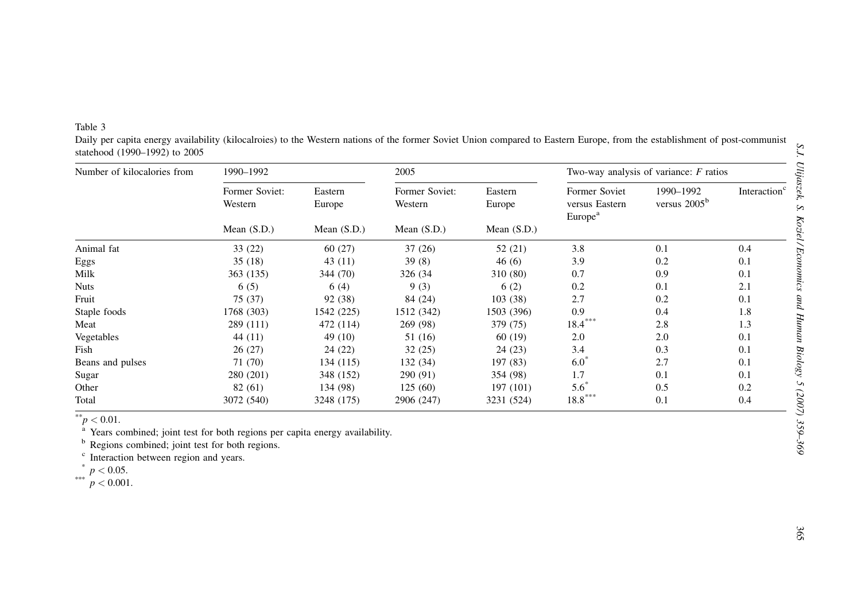<span id="page-6-0"></span>Daily per capita energy availability (kilocalroies) to the Western nations of the former Soviet Union compared to Eastern Europe, from the establishment of post-communist statehood (1990–1992) to 2005

| Number of kilocalories from | 1990-1992                                  |                                    | 2005                                       |                                    | Two-way analysis of variance: $F$ ratios               |                             |                          |
|-----------------------------|--------------------------------------------|------------------------------------|--------------------------------------------|------------------------------------|--------------------------------------------------------|-----------------------------|--------------------------|
|                             | Former Soviet:<br>Western<br>Mean $(S.D.)$ | Eastern<br>Europe<br>Mean $(S.D.)$ | Former Soviet:<br>Western<br>Mean $(S.D.)$ | Eastern<br>Europe<br>Mean $(S.D.)$ | Former Soviet<br>versus Eastern<br>Europe <sup>a</sup> | 1990-1992<br>versus $2005b$ | Interaction <sup>c</sup> |
|                             |                                            |                                    |                                            |                                    |                                                        |                             |                          |
| Animal fat                  | 33(22)                                     | 60 (27)                            | 37(26)                                     | 52 (21)                            | 3.8                                                    | 0.1                         | 0.4                      |
| Eggs                        | 35(18)                                     | 43 (11)                            | 39(8)                                      | 46(6)                              | 3.9                                                    | 0.2                         | 0.1                      |
| Milk                        | 363 (135)                                  | 344 (70)                           | 326 (34)                                   | 310 (80)                           | 0.7                                                    | 0.9                         | 0.1                      |
| <b>Nuts</b>                 | 6(5)                                       | 6(4)                               | 9(3)                                       | 6(2)                               | 0.2                                                    | 0.1                         | 2.1                      |
| Fruit                       | 75 (37)                                    | 92 (38)                            | 84 (24)                                    | 103(38)                            | 2.7                                                    | 0.2                         | 0.1                      |
| Staple foods                | 1768 (303)                                 | 1542 (225)                         | 1512 (342)                                 | 1503 (396)                         | 0.9                                                    | 0.4                         | 1.8                      |
| Meat                        | 289 (111)                                  | 472 (114)                          | 269 (98)                                   | 379 (75)                           | ***<br>$18.4^{\degree}$                                | 2.8                         | 1.3                      |
| Vegetables                  | 44 (11)                                    | 49 (10)                            | 51 (16)                                    | 60 (19)                            | 2.0                                                    | 2.0                         | 0.1                      |
| Fish                        | 26(27)                                     | 24 (22)                            | 32(25)                                     | 24(23)                             | 3.4                                                    | 0.3                         | 0.1                      |
| Beans and pulses            | 71 (70)                                    | 134 (115)                          | 132 (34)                                   | 197 (83)                           | 6.0                                                    | 2.7                         | 0.1                      |
| Sugar                       | 280 (201)                                  | 348 (152)                          | 290 (91)                                   | 354 (98)                           | 1.7                                                    | 0.1                         | 0.1                      |
| Other                       | 82 (61)                                    | 134 (98)                           | 125(60)                                    | 197 (101)                          | 5.6                                                    | 0.5                         | 0.2                      |
| Total                       | 3072 (540)                                 | 3248 (175)                         | 2906 (247)                                 | 3231 (524)                         | $18.8***$                                              | 0.1                         | 0.4                      |

 $*^*p < 0.01$ .

aYears combined; joint test for both regions per capita energy availability.

<sup>b</sup> Regions combined; joint test for both regions.

<sup>c</sup> Interaction between region and years.

\*  $p < 0.05$ .  $*$ 

 $p < 0.001$ .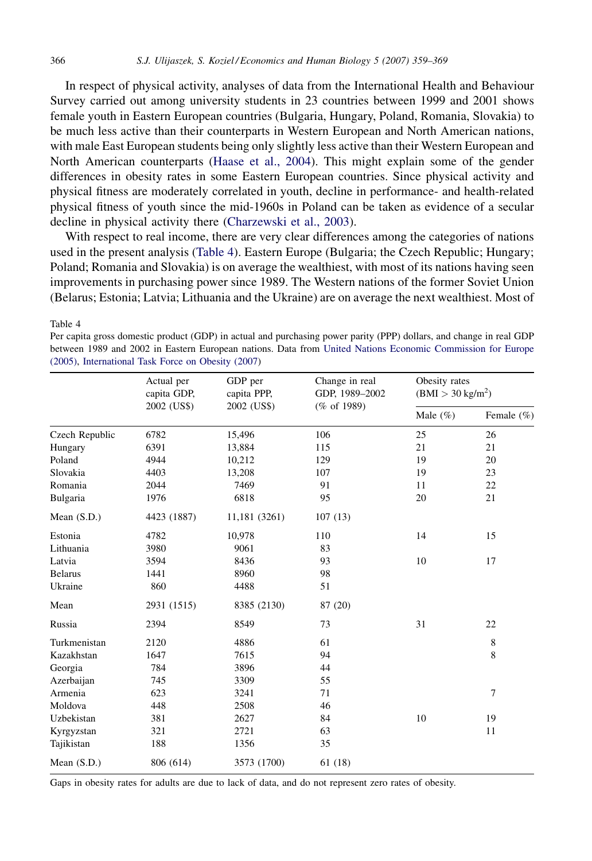In respect of physical activity, analyses of data from the International Health and Behaviour Survey carried out among university students in 23 countries between 1999 and 2001 shows female youth in Eastern European countries (Bulgaria, Hungary, Poland, Romania, Slovakia) to be much less active than their counterparts in Western European and North American nations, with male East European students being only slightly less active than their Western European and North American counterparts ([Haase et al., 2004\)](#page-9-0). This might explain some of the gender differences in obesity rates in some Eastern European countries. Since physical activity and physical fitness are moderately correlated in youth, decline in performance- and health-related physical fitness of youth since the mid-1960s in Poland can be taken as evidence of a secular decline in physical activity there ([Charzewski et al., 2003](#page-9-0)).

With respect to real income, there are very clear differences among the categories of nations used in the present analysis (Table 4). Eastern Europe (Bulgaria; the Czech Republic; Hungary; Poland; Romania and Slovakia) is on average the wealthiest, with most of its nations having seen improvements in purchasing power since 1989. The Western nations of the former Soviet Union (Belarus; Estonia; Latvia; Lithuania and the Ukraine) are on average the next wealthiest. Most of

Table 4

Per capita gross domestic product (GDP) in actual and purchasing power parity (PPP) dollars, and change in real GDP between 1989 and 2002 in Eastern European nations. Data from [United Nations Economic Commission for Europe](#page-9-0) [\(2005\),](#page-9-0) [International Task Force on Obesity \(2007\)](#page-9-0)

|                | Actual per<br>capita GDP, | GDP per<br>capita PPP, | Change in real<br>GDP, 1989-2002 | Obesity rates<br>$(BMI > 30 \text{ kg/m}^2)$ |                |  |
|----------------|---------------------------|------------------------|----------------------------------|----------------------------------------------|----------------|--|
|                | 2002 (US\$)               | 2002 (US\$)            | (% of 1989)                      | Male $(\% )$                                 | Female $(\% )$ |  |
| Czech Republic | 6782                      | 15,496                 | 106                              | 25                                           | 26             |  |
| Hungary        | 6391                      | 13,884                 | 115                              | 21                                           | 21             |  |
| Poland         | 4944                      | 10,212                 | 129                              | 19                                           | 20             |  |
| Slovakia       | 4403                      | 13,208                 | 107                              | 19                                           | 23             |  |
| Romania        | 2044                      | 7469                   | 91                               | 11                                           | 22             |  |
| Bulgaria       | 1976                      | 6818                   | 95                               | 20                                           | 21             |  |
| Mean $(S.D.)$  | 4423 (1887)               | 11,181 (3261)          | 107(13)                          |                                              |                |  |
| Estonia        | 4782                      | 10,978                 | 110                              | 14                                           | 15             |  |
| Lithuania      | 3980                      | 9061                   | 83                               |                                              |                |  |
| Latvia         | 3594                      | 8436                   | 93                               | 10                                           | 17             |  |
| <b>Belarus</b> | 1441                      | 8960                   | 98                               |                                              |                |  |
| Ukraine        | 860                       | 4488                   | 51                               |                                              |                |  |
| Mean           | 2931 (1515)               | 8385 (2130)            | 87 (20)                          |                                              |                |  |
| Russia         | 2394                      | 8549                   | 73                               | 31                                           | 22             |  |
| Turkmenistan   | 2120                      | 4886                   | 61                               |                                              | $\,$ 8 $\,$    |  |
| Kazakhstan     | 1647                      | 7615                   | 94                               |                                              | 8              |  |
| Georgia        | 784                       | 3896                   | 44                               |                                              |                |  |
| Azerbaijan     | 745                       | 3309                   | 55                               |                                              |                |  |
| Armenia        | 623                       | 3241                   | 71                               |                                              | 7              |  |
| Moldova        | 448                       | 2508                   | 46                               |                                              |                |  |
| Uzbekistan     | 381                       | 2627                   | 84                               | 10                                           | 19             |  |
| Kyrgyzstan     | 321                       | 2721                   | 63                               |                                              | 11             |  |
| Tajikistan     | 188                       | 1356                   | 35                               |                                              |                |  |
| Mean $(S.D.)$  | 806 (614)                 | 3573 (1700)            | 61 (18)                          |                                              |                |  |

Gaps in obesity rates for adults are due to lack of data, and do not represent zero rates of obesity.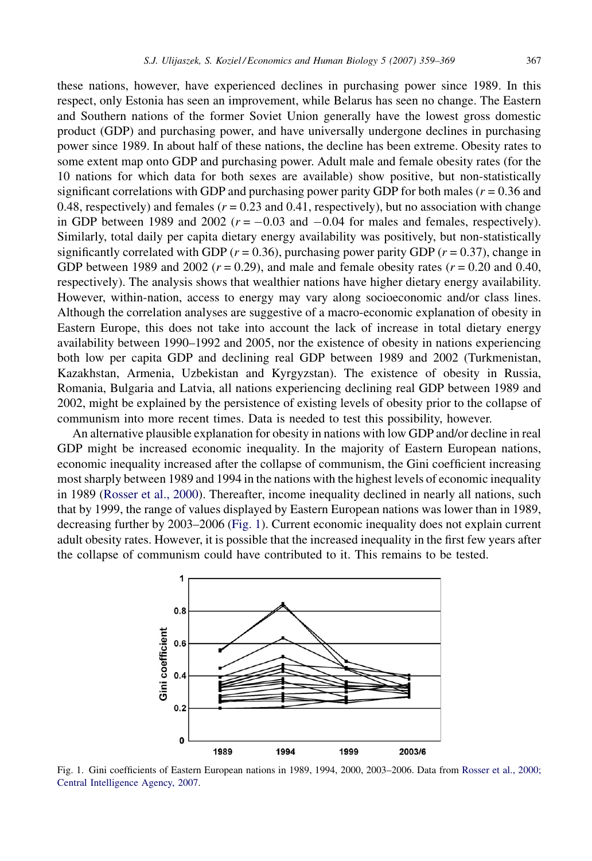these nations, however, have experienced declines in purchasing power since 1989. In this respect, only Estonia has seen an improvement, while Belarus has seen no change. The Eastern and Southern nations of the former Soviet Union generally have the lowest gross domestic product (GDP) and purchasing power, and have universally undergone declines in purchasing power since 1989. In about half of these nations, the decline has been extreme. Obesity rates to some extent map onto GDP and purchasing power. Adult male and female obesity rates (for the 10 nations for which data for both sexes are available) show positive, but non-statistically significant correlations with GDP and purchasing power parity GDP for both males ( $r = 0.36$  and 0.48, respectively) and females  $(r = 0.23$  and 0.41, respectively), but no association with change in GDP between 1989 and  $2002$  ( $r = -0.03$  and  $-0.04$  for males and females, respectively). Similarly, total daily per capita dietary energy availability was positively, but non-statistically significantly correlated with GDP ( $r = 0.36$ ), purchasing power parity GDP ( $r = 0.37$ ), change in GDP between 1989 and 2002 ( $r = 0.29$ ), and male and female obesity rates ( $r = 0.20$  and 0.40, respectively). The analysis shows that wealthier nations have higher dietary energy availability. However, within-nation, access to energy may vary along socioeconomic and/or class lines. Although the correlation analyses are suggestive of a macro-economic explanation of obesity in Eastern Europe, this does not take into account the lack of increase in total dietary energy availability between 1990–1992 and 2005, nor the existence of obesity in nations experiencing both low per capita GDP and declining real GDP between 1989 and 2002 (Turkmenistan, Kazakhstan, Armenia, Uzbekistan and Kyrgyzstan). The existence of obesity in Russia, Romania, Bulgaria and Latvia, all nations experiencing declining real GDP between 1989 and 2002, might be explained by the persistence of existing levels of obesity prior to the collapse of communism into more recent times. Data is needed to test this possibility, however.

An alternative plausible explanation for obesity in nations with low GDP and/or decline in real GDP might be increased economic inequality. In the majority of Eastern European nations, economic inequality increased after the collapse of communism, the Gini coefficient increasing most sharply between 1989 and 1994 in the nations with the highest levels of economic inequality in 1989 ([Rosser et al., 2000\)](#page-9-0). Thereafter, income inequality declined in nearly all nations, such that by 1999, the range of values displayed by Eastern European nations was lower than in 1989, decreasing further by 2003–2006 (Fig. 1). Current economic inequality does not explain current adult obesity rates. However, it is possible that the increased inequality in the first few years after the collapse of communism could have contributed to it. This remains to be tested.



Fig. 1. Gini coefficients of Eastern European nations in 1989, 1994, 2000, 2003–2006. Data from [Rosser et al., 2000;](#page-9-0) [Central Intelligence Agency, 2007.](#page-9-0)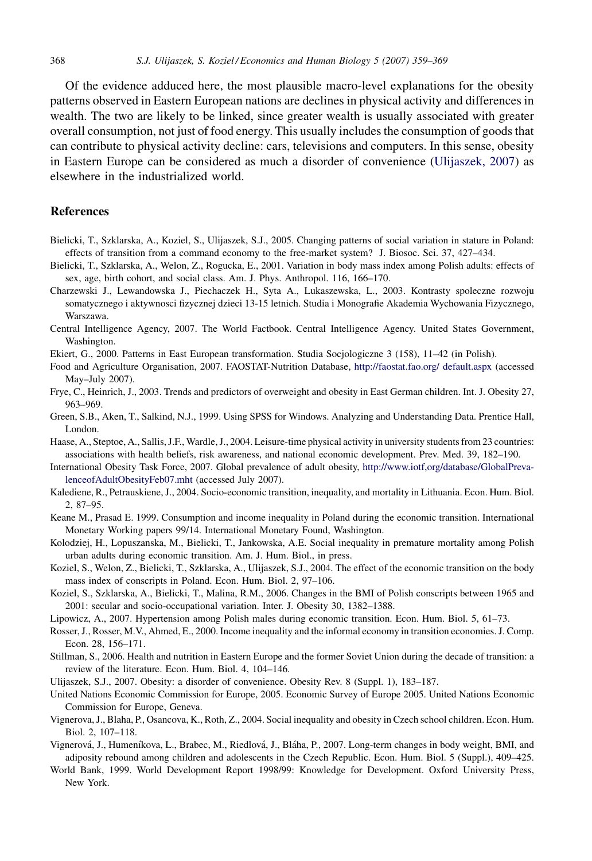<span id="page-9-0"></span>Of the evidence adduced here, the most plausible macro-level explanations for the obesity patterns observed in Eastern European nations are declines in physical activity and differences in wealth. The two are likely to be linked, since greater wealth is usually associated with greater overall consumption, not just of food energy. This usually includes the consumption of goods that can contribute to physical activity decline: cars, televisions and computers. In this sense, obesity in Eastern Europe can be considered as much a disorder of convenience (Ulijaszek, 2007) as elsewhere in the industrialized world.

### References

- Bielicki, T., Szklarska, A., Koziel, S., Ulijaszek, S.J., 2005. Changing patterns of social variation in stature in Poland: effects of transition from a command economy to the free-market system? J. Biosoc. Sci. 37, 427–434.
- Bielicki, T., Szklarska, A., Welon, Z., Rogucka, E., 2001. Variation in body mass index among Polish adults: effects of sex, age, birth cohort, and social class. Am. J. Phys. Anthropol. 116, 166–170.
- Charzewski J., Lewandowska J., Piechaczek H., Syta A., Lukaszewska, L., 2003. Kontrasty spoleczne rozwoju somatycznego i aktywnosci fizycznej dzieci 13-15 letnich. Studia i Monografie Akademia Wychowania Fizycznego, Warszawa.
- Central Intelligence Agency, 2007. The World Factbook. Central Intelligence Agency. United States Government, Washington.
- Ekiert, G., 2000. Patterns in East European transformation. Studia Socjologiczne 3 (158), 11–42 (in Polish).
- Food and Agriculture Organisation, 2007. FAOSTAT-Nutrition Database, [http://faostat.fao.org/ default.aspx](http://faostat.fao.org/%20default.aspx) (accessed May–July 2007).
- Frye, C., Heinrich, J., 2003. Trends and predictors of overweight and obesity in East German children. Int. J. Obesity 27, 963–969.
- Green, S.B., Aken, T., Salkind, N.J., 1999. Using SPSS for Windows. Analyzing and Understanding Data. Prentice Hall, London.
- Haase, A., Steptoe, A., Sallis, J.F., Wardle, J., 2004. Leisure-time physical activity in university students from 23 countries: associations with health beliefs, risk awareness, and national economic development. Prev. Med. 39, 182–190.
- International Obesity Task Force, 2007. Global prevalence of adult obesity, [http://www.iotf,org/database/GlobalPreva](http://www.iotf,org/database/GlobalPrevalenceofAdultObesityFeb07.mht)[lenceofAdultObesityFeb07.mht](http://www.iotf,org/database/GlobalPrevalenceofAdultObesityFeb07.mht) (accessed July 2007).
- Kalediene, R., Petrauskiene, J., 2004. Socio-economic transition, inequality, and mortality in Lithuania. Econ. Hum. Biol. 2, 87–95.
- Keane M., Prasad E. 1999. Consumption and income inequality in Poland during the economic transition. International Monetary Working papers 99/14. International Monetary Found, Washington.
- Kolodziej, H., Lopuszanska, M., Bielicki, T., Jankowska, A.E. Social inequality in premature mortality among Polish urban adults during economic transition. Am. J. Hum. Biol., in press.
- Koziel, S., Welon, Z., Bielicki, T., Szklarska, A., Ulijaszek, S.J., 2004. The effect of the economic transition on the body mass index of conscripts in Poland. Econ. Hum. Biol. 2, 97–106.
- Koziel, S., Szklarska, A., Bielicki, T., Malina, R.M., 2006. Changes in the BMI of Polish conscripts between 1965 and 2001: secular and socio-occupational variation. Inter. J. Obesity 30, 1382–1388.
- Lipowicz, A., 2007. Hypertension among Polish males during economic transition. Econ. Hum. Biol. 5, 61–73.
- Rosser, J., Rosser, M.V., Ahmed, E., 2000. Income inequality and the informal economy in transition economies. J. Comp. Econ. 28, 156–171.
- Stillman, S., 2006. Health and nutrition in Eastern Europe and the former Soviet Union during the decade of transition: a review of the literature. Econ. Hum. Biol. 4, 104–146.
- Ulijaszek, S.J., 2007. Obesity: a disorder of convenience. Obesity Rev. 8 (Suppl. 1), 183–187.
- United Nations Economic Commission for Europe, 2005. Economic Survey of Europe 2005. United Nations Economic Commission for Europe, Geneva.
- Vignerova, J., Blaha, P., Osancova, K., Roth, Z., 2004. Social inequality and obesity in Czech school children. Econ. Hum. Biol. 2, 107–118.
- Vignerová, J., Humeníkova, L., Brabec, M., Riedlová, J., Bláha, P., 2007. Long-term changes in body weight, BMI, and adiposity rebound among children and adolescents in the Czech Republic. Econ. Hum. Biol. 5 (Suppl.), 409–425.
- World Bank, 1999. World Development Report 1998/99: Knowledge for Development. Oxford University Press, New York.